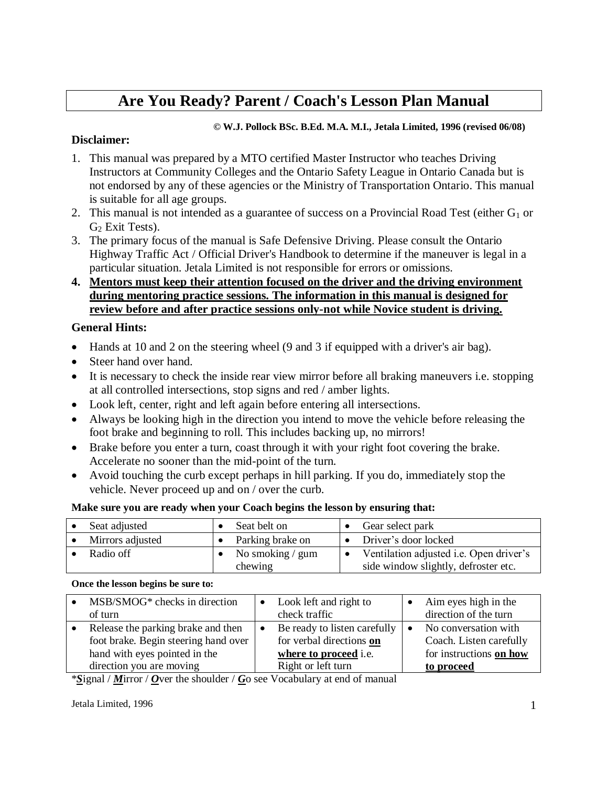# **Are You Ready? Parent / Coach's Lesson Plan Manual**

#### **© W.J. Pollock BSc. B.Ed. M.A. M.I., Jetala Limited, 1996 (revised 06/08)**

#### **Disclaimer:**

- 1. This manual was prepared by a MTO certified Master Instructor who teaches Driving Instructors at Community Colleges and the Ontario Safety League in Ontario Canada but is not endorsed by any of these agencies or the Ministry of Transportation Ontario. This manual is suitable for all age groups.
- 2. This manual is not intended as a guarantee of success on a Provincial Road Test (either  $G_1$  or  $G<sub>2</sub>$  Exit Tests).
- 3. The primary focus of the manual is Safe Defensive Driving. Please consult the Ontario Highway Traffic Act / Official Driver's Handbook to determine if the maneuver is legal in a particular situation. Jetala Limited is not responsible for errors or omissions.
- **4. Mentors must keep their attention focused on the driver and the driving environment during mentoring practice sessions. The information in this manual is designed for review before and after practice sessions only-not while Novice student is driving.**

#### **General Hints:**

- Hands at 10 and 2 on the steering wheel (9 and 3 if equipped with a driver's air bag).
- Steer hand over hand.
- It is necessary to check the inside rear view mirror before all braking maneuvers i.e. stopping at all controlled intersections, stop signs and red / amber lights.
- Look left, center, right and left again before entering all intersections.
- Always be looking high in the direction you intend to move the vehicle before releasing the foot brake and beginning to roll. This includes backing up, no mirrors!
- Brake before you enter a turn, coast through it with your right foot covering the brake. Accelerate no sooner than the mid-point of the turn.
- Avoid touching the curb except perhaps in hill parking. If you do, immediately stop the vehicle. Never proceed up and on / over the curb.

#### **Make sure you are ready when your Coach begins the lesson by ensuring that:**

| Seat adjusted    | Seat belt on                  | Gear select park                                                                       |
|------------------|-------------------------------|----------------------------------------------------------------------------------------|
| Mirrors adjusted | Parking brake on              | Driver's door locked                                                                   |
| Radio off        | No smoking $/$ gum<br>chewing | Ventilation adjusted <i>i.e.</i> Open driver's<br>side window slightly, defroster etc. |

#### **Once the lesson begins be sure to:**

| MSB/SMOG* checks in direction<br>of turn                                                                                                | Look left and right to<br>check traffic                                                                        | Aim eyes high in the<br>direction of the turn                                            |
|-----------------------------------------------------------------------------------------------------------------------------------------|----------------------------------------------------------------------------------------------------------------|------------------------------------------------------------------------------------------|
| Release the parking brake and then<br>foot brake. Begin steering hand over<br>hand with eyes pointed in the<br>direction you are moving | Be ready to listen carefully<br>for verbal directions on<br>where to proceed <i>i.e.</i><br>Right or left turn | No conversation with<br>Coach. Listen carefully<br>for instructions on how<br>to proceed |

\**S*ignal / *M*irror / *O*ver the shoulder / *G*o see Vocabulary at end of manual

Jetala Limited, 1996 1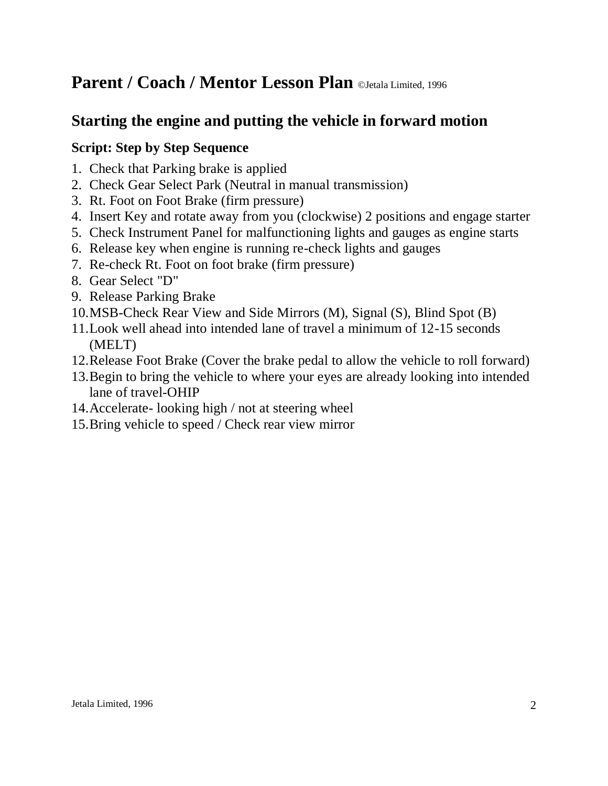# **Starting the engine and putting the vehicle in forward motion**

### **Script: Step by Step Sequence**

- 1. Check that Parking brake is applied
- 2. Check Gear Select Park (Neutral in manual transmission)
- 3. Rt. Foot on Foot Brake (firm pressure)
- 4. Insert Key and rotate away from you (clockwise) 2 positions and engage starter
- 5. Check Instrument Panel for malfunctioning lights and gauges as engine starts
- 6. Release key when engine is running re-check lights and gauges
- 7. Re-check Rt. Foot on foot brake (firm pressure)
- 8. Gear Select "D"
- 9. Release Parking Brake
- 10.MSB-Check Rear View and Side Mirrors (M), Signal (S), Blind Spot (B)
- 11.Look well ahead into intended lane of travel a minimum of 12-15 seconds (MELT)
- 12.Release Foot Brake (Cover the brake pedal to allow the vehicle to roll forward)
- 13.Begin to bring the vehicle to where your eyes are already looking into intended lane of travel-OHIP
- 14.Accelerate- looking high / not at steering wheel
- 15.Bring vehicle to speed / Check rear view mirror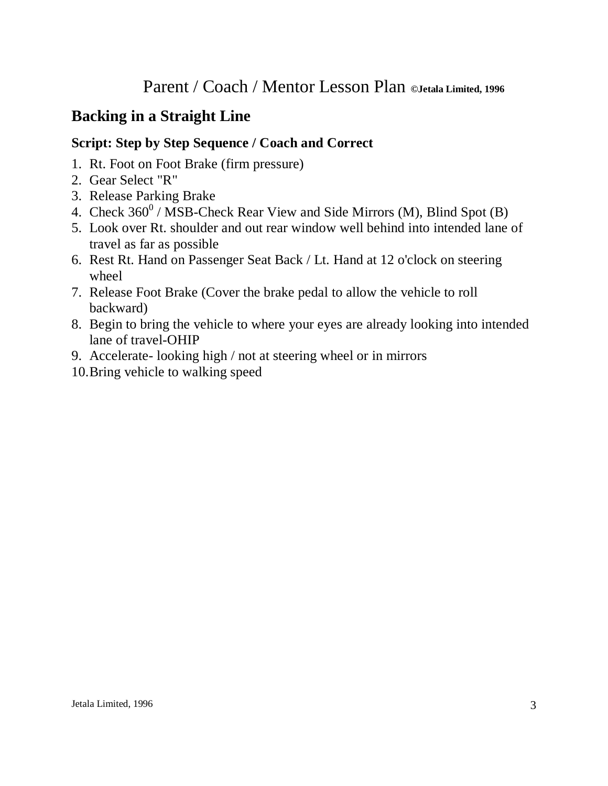# **Backing in a Straight Line**

- 1. Rt. Foot on Foot Brake (firm pressure)
- 2. Gear Select "R"
- 3. Release Parking Brake
- 4. Check  $360^0$  / MSB-Check Rear View and Side Mirrors (M), Blind Spot (B)
- 5. Look over Rt. shoulder and out rear window well behind into intended lane of travel as far as possible
- 6. Rest Rt. Hand on Passenger Seat Back / Lt. Hand at 12 o'clock on steering wheel
- 7. Release Foot Brake (Cover the brake pedal to allow the vehicle to roll backward)
- 8. Begin to bring the vehicle to where your eyes are already looking into intended lane of travel-OHIP
- 9. Accelerate- looking high / not at steering wheel or in mirrors
- 10.Bring vehicle to walking speed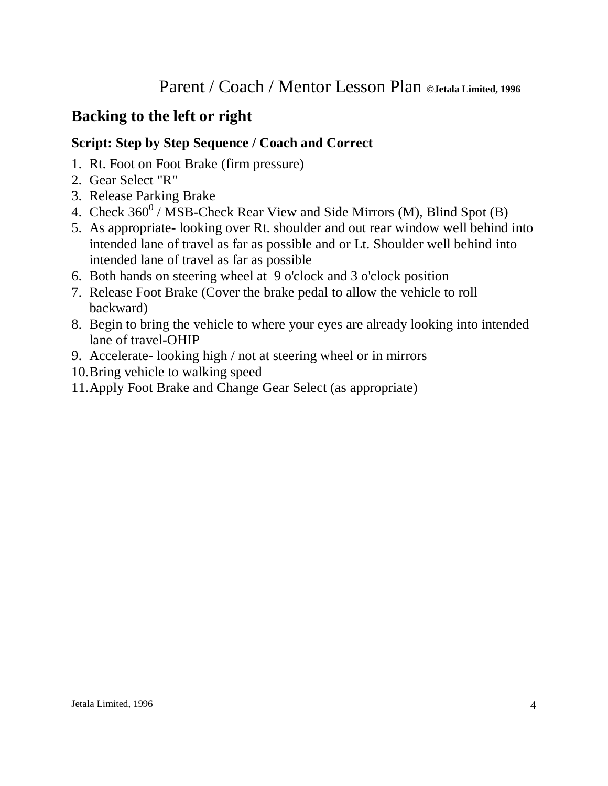# **Backing to the left or right**

- 1. Rt. Foot on Foot Brake (firm pressure)
- 2. Gear Select "R"
- 3. Release Parking Brake
- 4. Check  $360^0$  / MSB-Check Rear View and Side Mirrors (M), Blind Spot (B)
- 5. As appropriate- looking over Rt. shoulder and out rear window well behind into intended lane of travel as far as possible and or Lt. Shoulder well behind into intended lane of travel as far as possible
- 6. Both hands on steering wheel at 9 o'clock and 3 o'clock position
- 7. Release Foot Brake (Cover the brake pedal to allow the vehicle to roll backward)
- 8. Begin to bring the vehicle to where your eyes are already looking into intended lane of travel-OHIP
- 9. Accelerate- looking high / not at steering wheel or in mirrors
- 10.Bring vehicle to walking speed
- 11.Apply Foot Brake and Change Gear Select (as appropriate)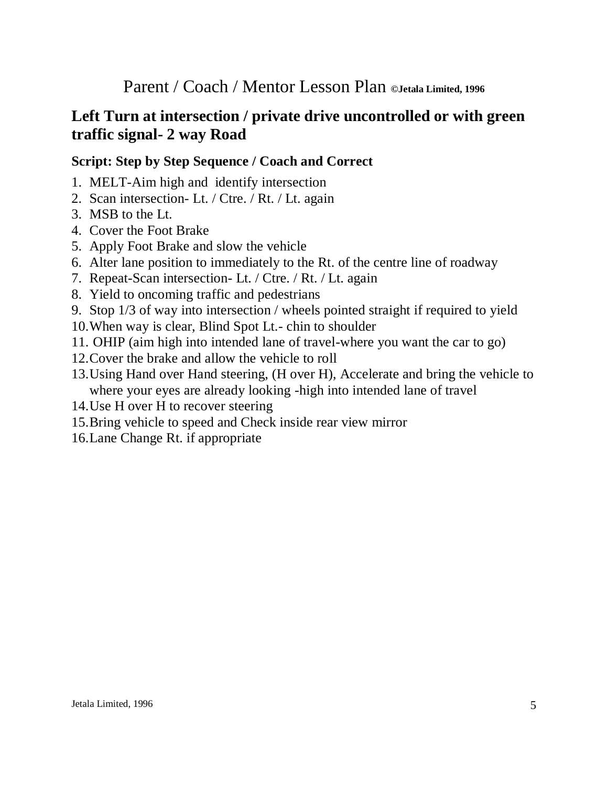# **Left Turn at intersection / private drive uncontrolled or with green traffic signal- 2 way Road**

- 1. MELT-Aim high and identify intersection
- 2. Scan intersection- Lt. / Ctre. / Rt. / Lt. again
- 3. MSB to the Lt.
- 4. Cover the Foot Brake
- 5. Apply Foot Brake and slow the vehicle
- 6. Alter lane position to immediately to the Rt. of the centre line of roadway
- 7. Repeat-Scan intersection- Lt. / Ctre. / Rt. / Lt. again
- 8. Yield to oncoming traffic and pedestrians
- 9. Stop 1/3 of way into intersection / wheels pointed straight if required to yield
- 10.When way is clear, Blind Spot Lt.- chin to shoulder
- 11. OHIP (aim high into intended lane of travel-where you want the car to go)
- 12.Cover the brake and allow the vehicle to roll
- 13.Using Hand over Hand steering, (H over H), Accelerate and bring the vehicle to where your eyes are already looking -high into intended lane of travel
- 14.Use H over H to recover steering
- 15.Bring vehicle to speed and Check inside rear view mirror
- 16.Lane Change Rt. if appropriate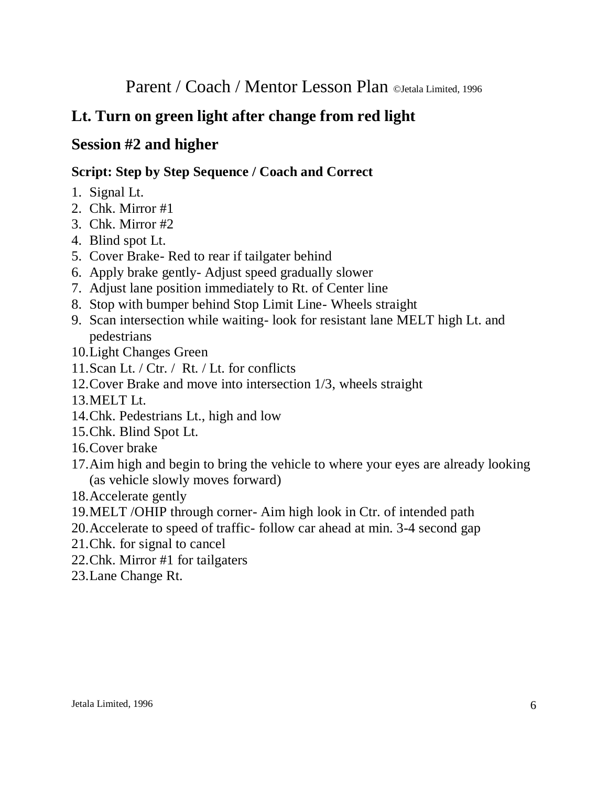# **Lt. Turn on green light after change from red light**

# **Session #2 and higher**

- 1. Signal Lt.
- 2. Chk. Mirror #1
- 3. Chk. Mirror #2
- 4. Blind spot Lt.
- 5. Cover Brake- Red to rear if tailgater behind
- 6. Apply brake gently- Adjust speed gradually slower
- 7. Adjust lane position immediately to Rt. of Center line
- 8. Stop with bumper behind Stop Limit Line- Wheels straight
- 9. Scan intersection while waiting- look for resistant lane MELT high Lt. and pedestrians
- 10.Light Changes Green
- 11.Scan Lt. / Ctr. / Rt. / Lt. for conflicts
- 12.Cover Brake and move into intersection 1/3, wheels straight
- 13.MELT Lt.
- 14.Chk. Pedestrians Lt., high and low
- 15.Chk. Blind Spot Lt.
- 16.Cover brake
- 17.Aim high and begin to bring the vehicle to where your eyes are already looking (as vehicle slowly moves forward)
- 18.Accelerate gently
- 19.MELT /OHIP through corner- Aim high look in Ctr. of intended path
- 20.Accelerate to speed of traffic- follow car ahead at min. 3-4 second gap
- 21.Chk. for signal to cancel
- 22.Chk. Mirror #1 for tailgaters
- 23.Lane Change Rt.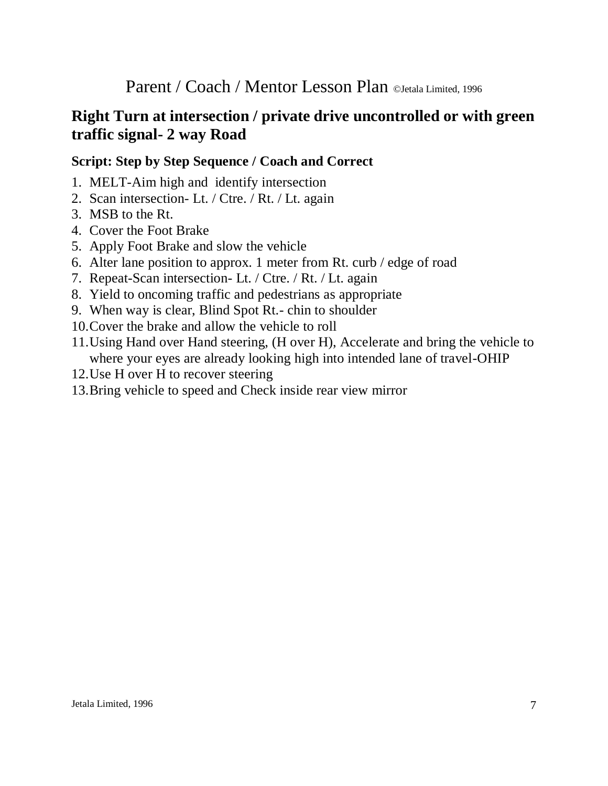# **Right Turn at intersection / private drive uncontrolled or with green traffic signal- 2 way Road**

- 1. MELT-Aim high and identify intersection
- 2. Scan intersection- Lt. / Ctre. / Rt. / Lt. again
- 3. MSB to the Rt.
- 4. Cover the Foot Brake
- 5. Apply Foot Brake and slow the vehicle
- 6. Alter lane position to approx. 1 meter from Rt. curb / edge of road
- 7. Repeat-Scan intersection- Lt. / Ctre. / Rt. / Lt. again
- 8. Yield to oncoming traffic and pedestrians as appropriate
- 9. When way is clear, Blind Spot Rt.- chin to shoulder
- 10.Cover the brake and allow the vehicle to roll
- 11.Using Hand over Hand steering, (H over H), Accelerate and bring the vehicle to where your eyes are already looking high into intended lane of travel-OHIP
- 12.Use H over H to recover steering
- 13.Bring vehicle to speed and Check inside rear view mirror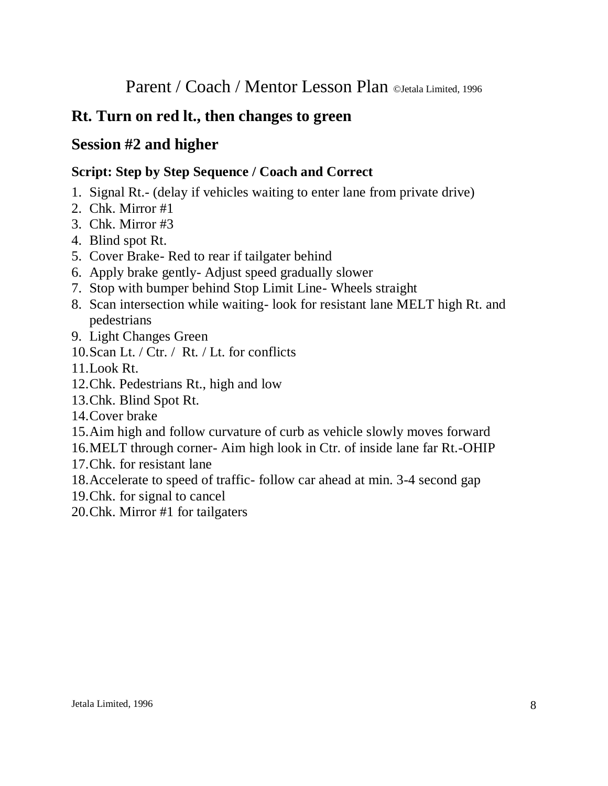# **Rt. Turn on red lt., then changes to green**

# **Session #2 and higher**

- 1. Signal Rt.- (delay if vehicles waiting to enter lane from private drive)
- 2. Chk. Mirror #1
- 3. Chk. Mirror #3
- 4. Blind spot Rt.
- 5. Cover Brake- Red to rear if tailgater behind
- 6. Apply brake gently- Adjust speed gradually slower
- 7. Stop with bumper behind Stop Limit Line- Wheels straight
- 8. Scan intersection while waiting- look for resistant lane MELT high Rt. and pedestrians
- 9. Light Changes Green
- 10.Scan Lt. / Ctr. / Rt. / Lt. for conflicts
- 11.Look Rt.
- 12.Chk. Pedestrians Rt., high and low
- 13.Chk. Blind Spot Rt.
- 14.Cover brake
- 15.Aim high and follow curvature of curb as vehicle slowly moves forward
- 16.MELT through corner- Aim high look in Ctr. of inside lane far Rt.-OHIP
- 17.Chk. for resistant lane
- 18.Accelerate to speed of traffic- follow car ahead at min. 3-4 second gap
- 19.Chk. for signal to cancel
- 20.Chk. Mirror #1 for tailgaters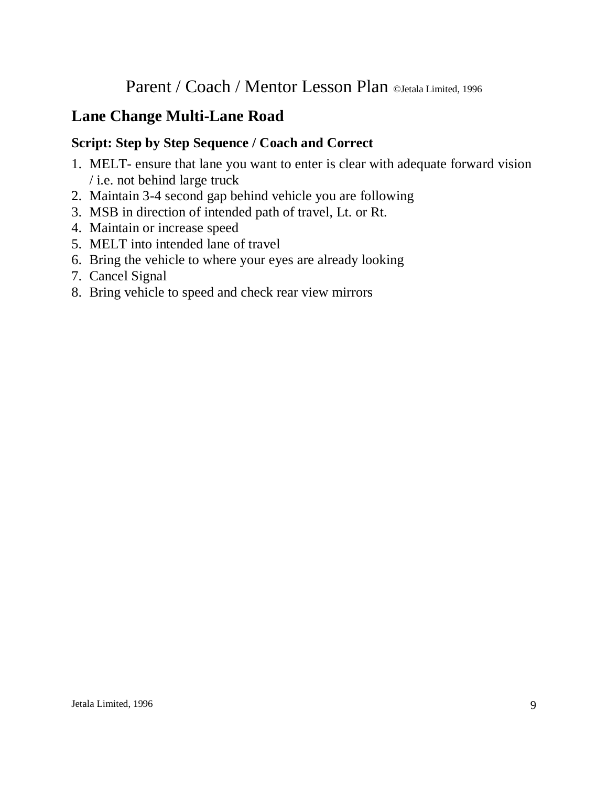# **Lane Change Multi-Lane Road**

- 1. MELT- ensure that lane you want to enter is clear with adequate forward vision / i.e. not behind large truck
- 2. Maintain 3-4 second gap behind vehicle you are following
- 3. MSB in direction of intended path of travel, Lt. or Rt.
- 4. Maintain or increase speed
- 5. MELT into intended lane of travel
- 6. Bring the vehicle to where your eyes are already looking
- 7. Cancel Signal
- 8. Bring vehicle to speed and check rear view mirrors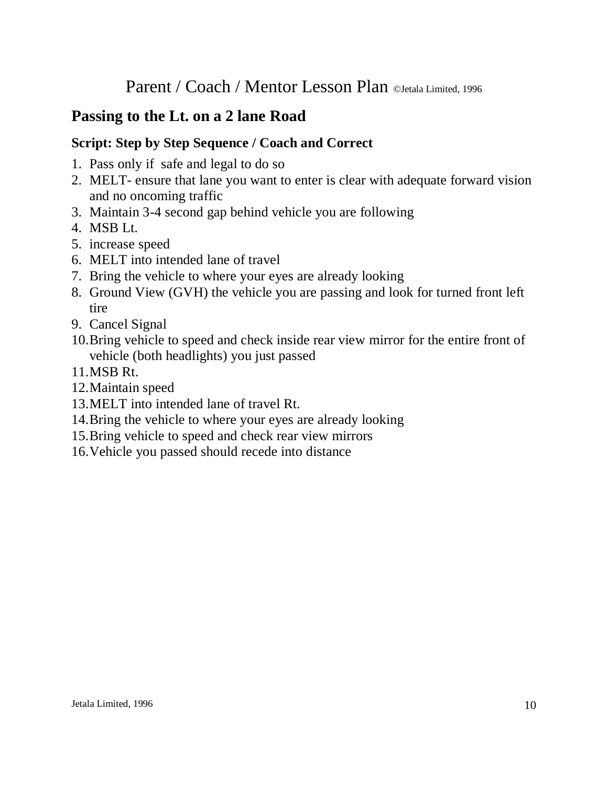# **Passing to the Lt. on a 2 lane Road**

- 1. Pass only if safe and legal to do so
- 2. MELT- ensure that lane you want to enter is clear with adequate forward vision and no oncoming traffic
- 3. Maintain 3-4 second gap behind vehicle you are following
- 4. MSB Lt.
- 5. increase speed
- 6. MELT into intended lane of travel
- 7. Bring the vehicle to where your eyes are already looking
- 8. Ground View (GVH) the vehicle you are passing and look for turned front left tire
- 9. Cancel Signal
- 10.Bring vehicle to speed and check inside rear view mirror for the entire front of vehicle (both headlights) you just passed
- 11.MSB Rt.
- 12.Maintain speed
- 13.MELT into intended lane of travel Rt.
- 14.Bring the vehicle to where your eyes are already looking
- 15.Bring vehicle to speed and check rear view mirrors
- 16.Vehicle you passed should recede into distance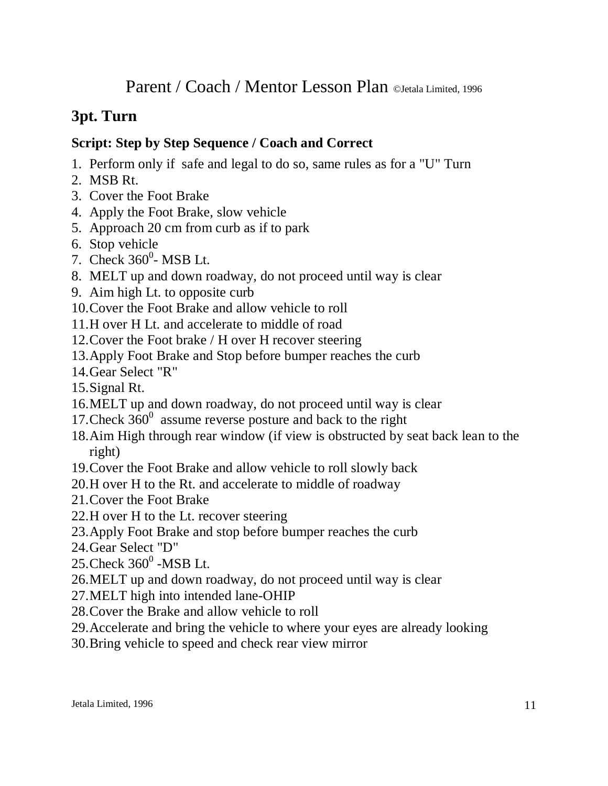# **3pt. Turn**

- 1. Perform only if safe and legal to do so, same rules as for a "U" Turn
- 2. MSB Rt.
- 3. Cover the Foot Brake
- 4. Apply the Foot Brake, slow vehicle
- 5. Approach 20 cm from curb as if to park
- 6. Stop vehicle
- 7. Check  $360^0$  MSB Lt.
- 8. MELT up and down roadway, do not proceed until way is clear
- 9. Aim high Lt. to opposite curb
- 10.Cover the Foot Brake and allow vehicle to roll
- 11.H over H Lt. and accelerate to middle of road
- 12.Cover the Foot brake / H over H recover steering
- 13.Apply Foot Brake and Stop before bumper reaches the curb
- 14.Gear Select "R"
- 15.Signal Rt.
- 16.MELT up and down roadway, do not proceed until way is clear
- 17. Check  $360^0$  assume reverse posture and back to the right
- 18.Aim High through rear window (if view is obstructed by seat back lean to the right)
- 19.Cover the Foot Brake and allow vehicle to roll slowly back
- 20.H over H to the Rt. and accelerate to middle of roadway
- 21.Cover the Foot Brake
- 22.H over H to the Lt. recover steering
- 23.Apply Foot Brake and stop before bumper reaches the curb
- 24.Gear Select "D"
- $25$ .Check  $360^0$  -MSB Lt.
- 26.MELT up and down roadway, do not proceed until way is clear
- 27.MELT high into intended lane-OHIP
- 28.Cover the Brake and allow vehicle to roll
- 29.Accelerate and bring the vehicle to where your eyes are already looking
- 30.Bring vehicle to speed and check rear view mirror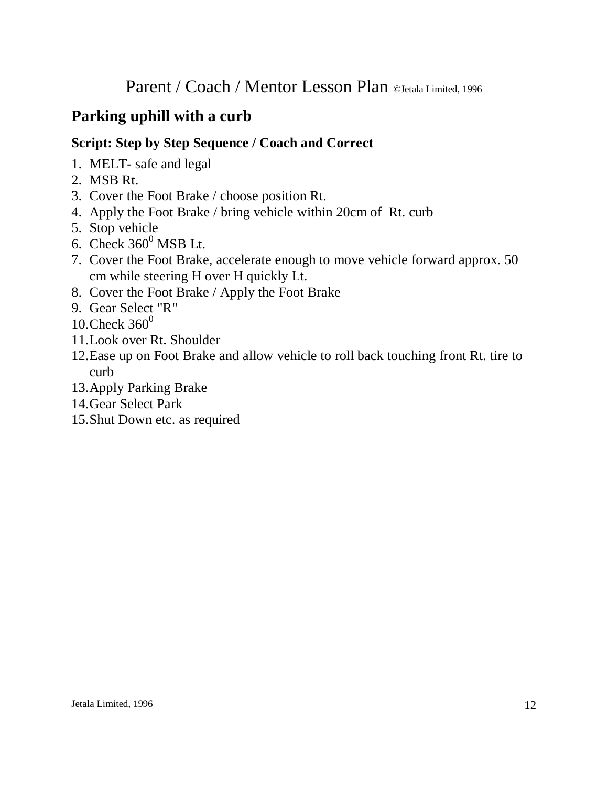# **Parking uphill with a curb**

- 1. MELT- safe and legal
- 2. MSB Rt.
- 3. Cover the Foot Brake / choose position Rt.
- 4. Apply the Foot Brake / bring vehicle within 20cm of Rt. curb
- 5. Stop vehicle
- 6. Check  $360^0$  MSB Lt.
- 7. Cover the Foot Brake, accelerate enough to move vehicle forward approx. 50 cm while steering H over H quickly Lt.
- 8. Cover the Foot Brake / Apply the Foot Brake
- 9. Gear Select "R"
- 10. Check  $360^0$
- 11.Look over Rt. Shoulder
- 12.Ease up on Foot Brake and allow vehicle to roll back touching front Rt. tire to curb
- 13.Apply Parking Brake
- 14.Gear Select Park
- 15.Shut Down etc. as required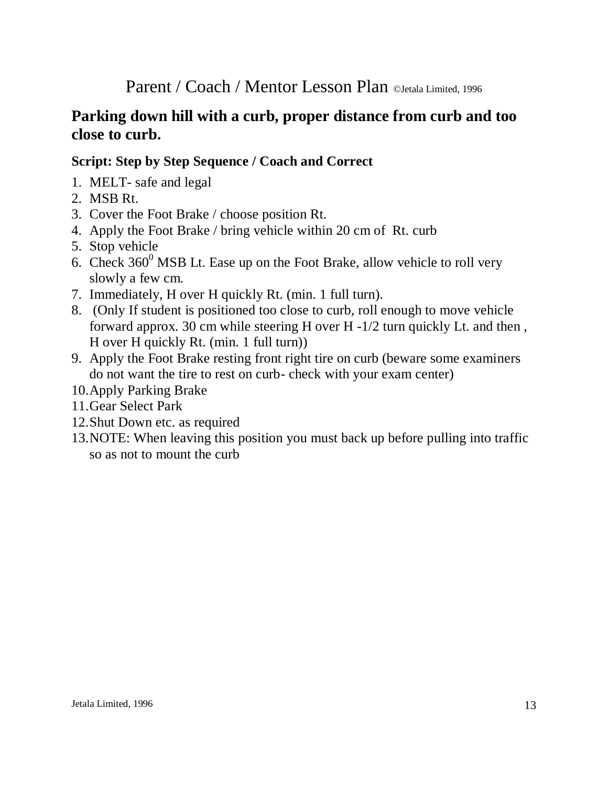# **Parking down hill with a curb, proper distance from curb and too close to curb.**

- 1. MELT- safe and legal
- 2. MSB Rt.
- 3. Cover the Foot Brake / choose position Rt.
- 4. Apply the Foot Brake / bring vehicle within 20 cm of Rt. curb
- 5. Stop vehicle
- 6. Check  $360^{\circ}$  MSB Lt. Ease up on the Foot Brake, allow vehicle to roll very slowly a few cm.
- 7. Immediately, H over H quickly Rt. (min. 1 full turn).
- 8. (Only If student is positioned too close to curb, roll enough to move vehicle forward approx. 30 cm while steering H over H -1/2 turn quickly Lt. and then , H over H quickly Rt. (min. 1 full turn))
- 9. Apply the Foot Brake resting front right tire on curb (beware some examiners do not want the tire to rest on curb- check with your exam center)
- 10.Apply Parking Brake
- 11.Gear Select Park
- 12.Shut Down etc. as required
- 13.NOTE: When leaving this position you must back up before pulling into traffic so as not to mount the curb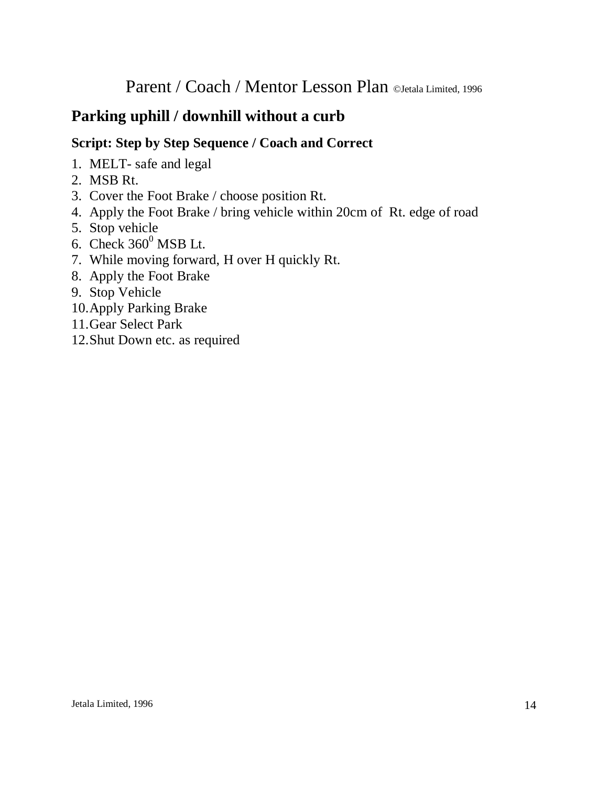# **Parking uphill / downhill without a curb**

- 1. MELT- safe and legal
- 2. MSB Rt.
- 3. Cover the Foot Brake / choose position Rt.
- 4. Apply the Foot Brake / bring vehicle within 20cm of Rt. edge of road
- 5. Stop vehicle
- 6. Check  $360^0$  MSB Lt.
- 7. While moving forward, H over H quickly Rt.
- 8. Apply the Foot Brake
- 9. Stop Vehicle
- 10.Apply Parking Brake
- 11.Gear Select Park
- 12.Shut Down etc. as required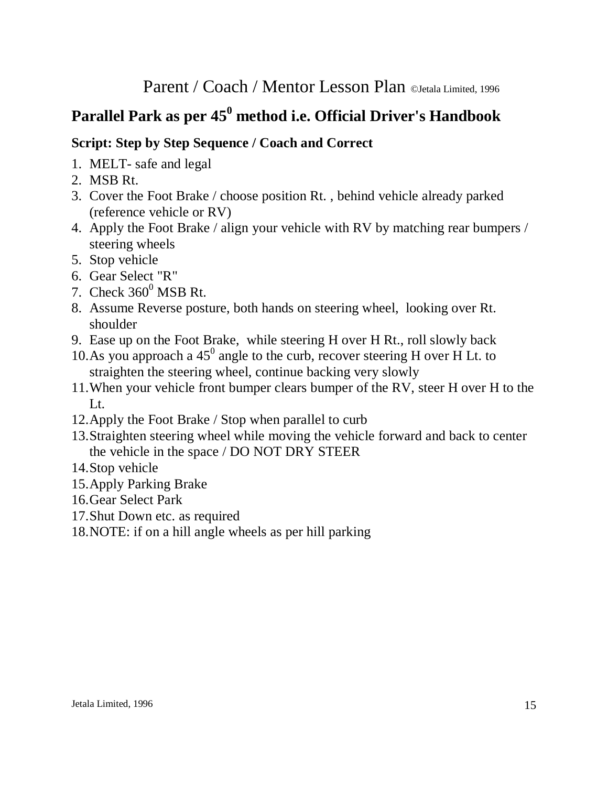# **Parallel Park as per 45<sup>0</sup> method i.e. Official Driver's Handbook**

- 1. MELT- safe and legal
- 2. MSB Rt.
- 3. Cover the Foot Brake / choose position Rt. , behind vehicle already parked (reference vehicle or RV)
- 4. Apply the Foot Brake / align your vehicle with RV by matching rear bumpers / steering wheels
- 5. Stop vehicle
- 6. Gear Select "R"
- 7. Check  $360^0$  MSB Rt.
- 8. Assume Reverse posture, both hands on steering wheel, looking over Rt. shoulder
- 9. Ease up on the Foot Brake, while steering H over H Rt., roll slowly back
- 10. As you approach a  $45^{\circ}$  angle to the curb, recover steering H over H Lt. to straighten the steering wheel, continue backing very slowly
- 11.When your vehicle front bumper clears bumper of the RV, steer H over H to the Lt.
- 12.Apply the Foot Brake / Stop when parallel to curb
- 13.Straighten steering wheel while moving the vehicle forward and back to center the vehicle in the space / DO NOT DRY STEER
- 14.Stop vehicle
- 15.Apply Parking Brake
- 16.Gear Select Park
- 17.Shut Down etc. as required
- 18.NOTE: if on a hill angle wheels as per hill parking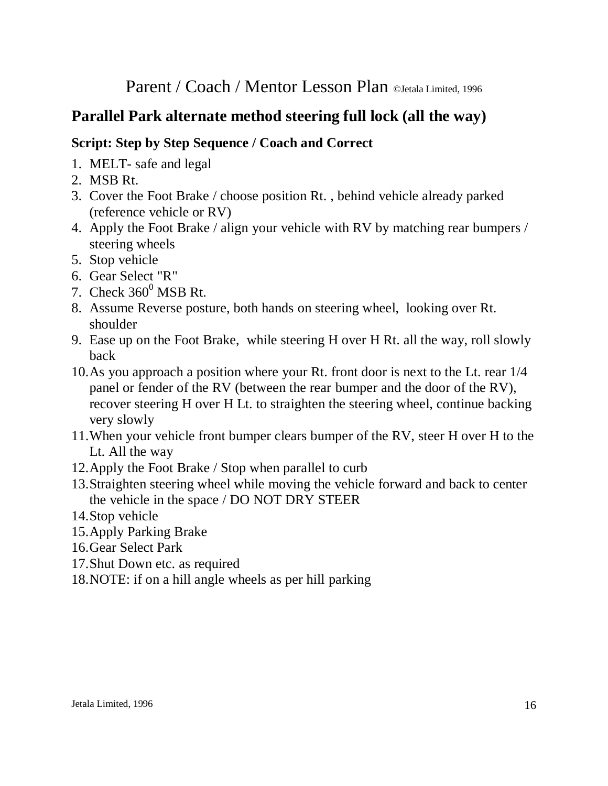# **Parallel Park alternate method steering full lock (all the way)**

- 1. MELT- safe and legal
- 2. MSB Rt.
- 3. Cover the Foot Brake / choose position Rt. , behind vehicle already parked (reference vehicle or RV)
- 4. Apply the Foot Brake / align your vehicle with RV by matching rear bumpers / steering wheels
- 5. Stop vehicle
- 6. Gear Select "R"
- 7. Check  $360^0$  MSB Rt.
- 8. Assume Reverse posture, both hands on steering wheel, looking over Rt. shoulder
- 9. Ease up on the Foot Brake, while steering H over H Rt. all the way, roll slowly back
- 10.As you approach a position where your Rt. front door is next to the Lt. rear 1/4 panel or fender of the RV (between the rear bumper and the door of the RV), recover steering H over H Lt. to straighten the steering wheel, continue backing very slowly
- 11.When your vehicle front bumper clears bumper of the RV, steer H over H to the Lt. All the way
- 12.Apply the Foot Brake / Stop when parallel to curb
- 13.Straighten steering wheel while moving the vehicle forward and back to center the vehicle in the space / DO NOT DRY STEER
- 14.Stop vehicle
- 15.Apply Parking Brake
- 16.Gear Select Park
- 17.Shut Down etc. as required
- 18.NOTE: if on a hill angle wheels as per hill parking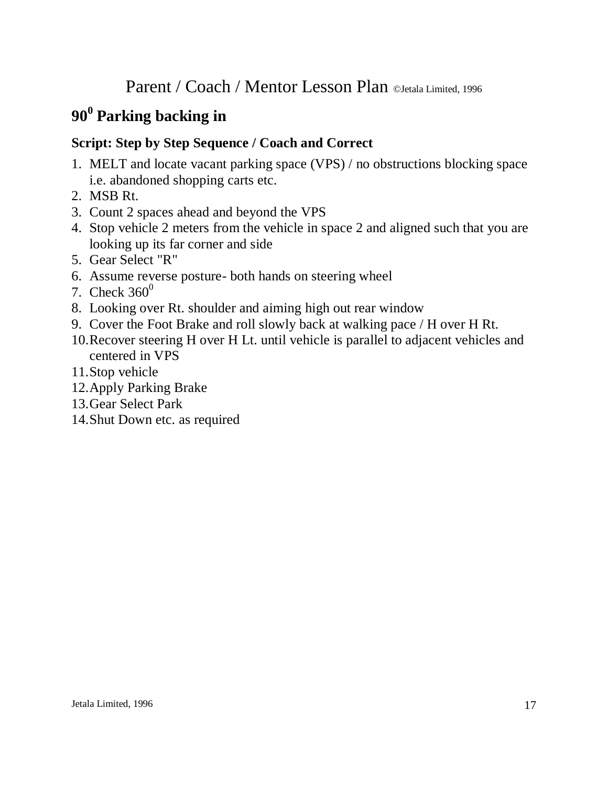# **90<sup>0</sup> Parking backing in**

- 1. MELT and locate vacant parking space (VPS) / no obstructions blocking space i.e. abandoned shopping carts etc.
- 2. MSB Rt.
- 3. Count 2 spaces ahead and beyond the VPS
- 4. Stop vehicle 2 meters from the vehicle in space 2 and aligned such that you are looking up its far corner and side
- 5. Gear Select "R"
- 6. Assume reverse posture- both hands on steering wheel
- 7. Check  $360^\circ$
- 8. Looking over Rt. shoulder and aiming high out rear window
- 9. Cover the Foot Brake and roll slowly back at walking pace / H over H Rt.
- 10.Recover steering H over H Lt. until vehicle is parallel to adjacent vehicles and centered in VPS
- 11.Stop vehicle
- 12.Apply Parking Brake
- 13.Gear Select Park
- 14.Shut Down etc. as required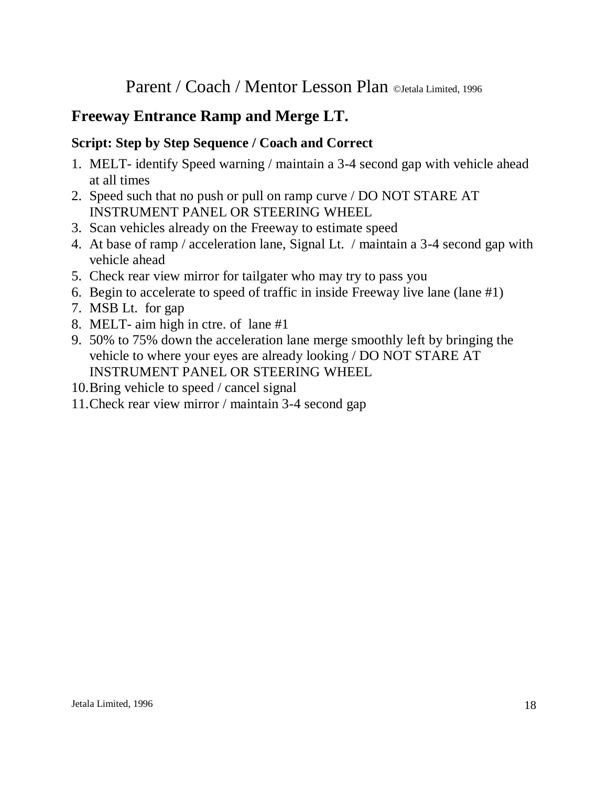# **Freeway Entrance Ramp and Merge LT.**

- 1. MELT- identify Speed warning / maintain a 3-4 second gap with vehicle ahead at all times
- 2. Speed such that no push or pull on ramp curve / DO NOT STARE AT INSTRUMENT PANEL OR STEERING WHEEL
- 3. Scan vehicles already on the Freeway to estimate speed
- 4. At base of ramp / acceleration lane, Signal Lt. / maintain a 3-4 second gap with vehicle ahead
- 5. Check rear view mirror for tailgater who may try to pass you
- 6. Begin to accelerate to speed of traffic in inside Freeway live lane (lane #1)
- 7. MSB Lt. for gap
- 8. MELT- aim high in ctre. of lane #1
- 9. 50% to 75% down the acceleration lane merge smoothly left by bringing the vehicle to where your eyes are already looking / DO NOT STARE AT INSTRUMENT PANEL OR STEERING WHEEL
- 10.Bring vehicle to speed / cancel signal
- 11.Check rear view mirror / maintain 3-4 second gap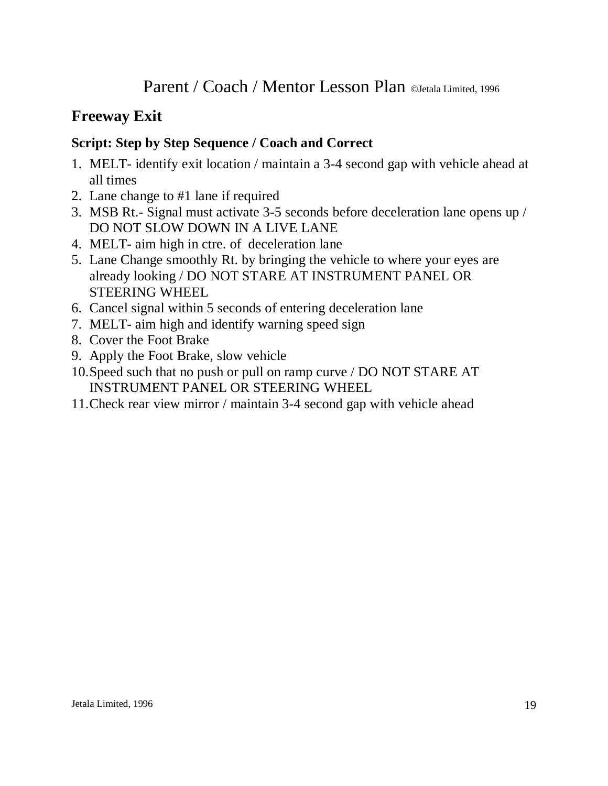# **Freeway Exit**

- 1. MELT- identify exit location / maintain a 3-4 second gap with vehicle ahead at all times
- 2. Lane change to #1 lane if required
- 3. MSB Rt.- Signal must activate 3-5 seconds before deceleration lane opens up / DO NOT SLOW DOWN IN A LIVE LANE
- 4. MELT- aim high in ctre. of deceleration lane
- 5. Lane Change smoothly Rt. by bringing the vehicle to where your eyes are already looking / DO NOT STARE AT INSTRUMENT PANEL OR STEERING WHEEL
- 6. Cancel signal within 5 seconds of entering deceleration lane
- 7. MELT- aim high and identify warning speed sign
- 8. Cover the Foot Brake
- 9. Apply the Foot Brake, slow vehicle
- 10.Speed such that no push or pull on ramp curve / DO NOT STARE AT INSTRUMENT PANEL OR STEERING WHEEL
- 11.Check rear view mirror / maintain 3-4 second gap with vehicle ahead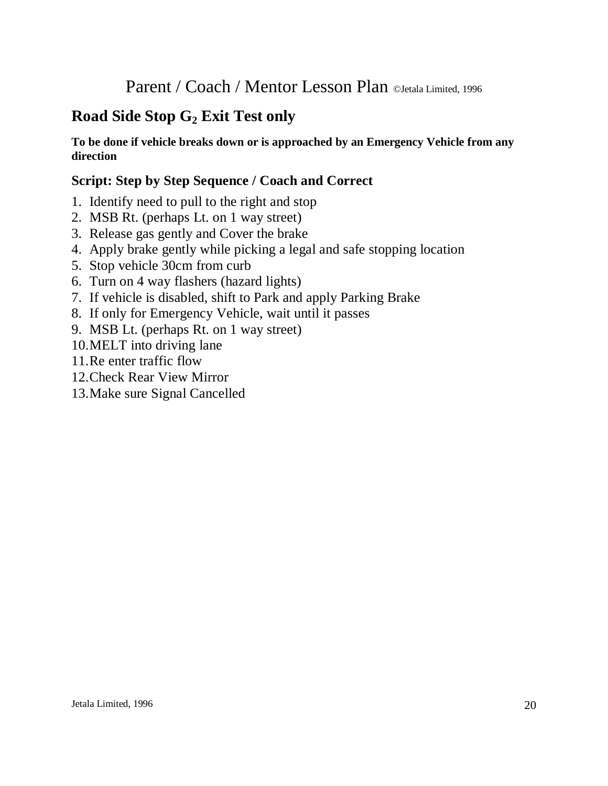# **Road Side Stop G<sup>2</sup> Exit Test only**

#### **To be done if vehicle breaks down or is approached by an Emergency Vehicle from any direction**

- 1. Identify need to pull to the right and stop
- 2. MSB Rt. (perhaps Lt. on 1 way street)
- 3. Release gas gently and Cover the brake
- 4. Apply brake gently while picking a legal and safe stopping location
- 5. Stop vehicle 30cm from curb
- 6. Turn on 4 way flashers (hazard lights)
- 7. If vehicle is disabled, shift to Park and apply Parking Brake
- 8. If only for Emergency Vehicle, wait until it passes
- 9. MSB Lt. (perhaps Rt. on 1 way street)
- 10.MELT into driving lane
- 11.Re enter traffic flow
- 12.Check Rear View Mirror
- 13.Make sure Signal Cancelled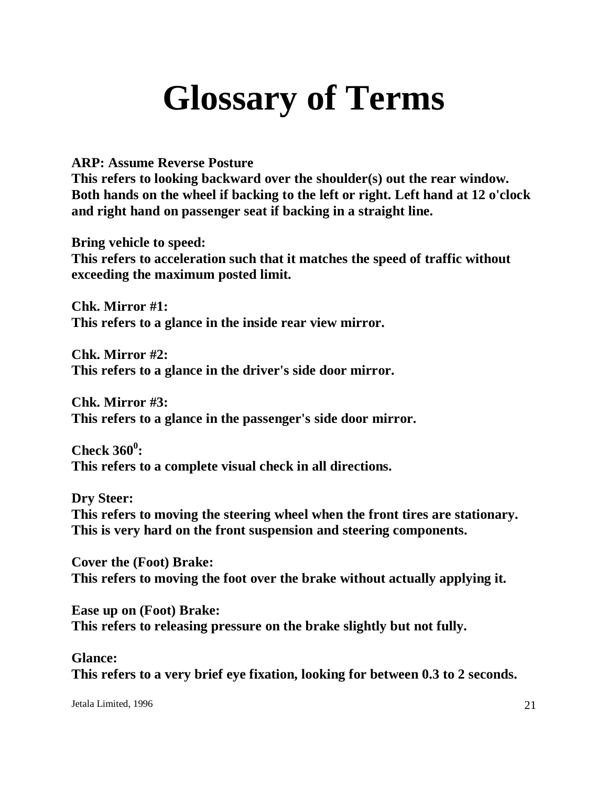# **Glossary of Terms**

**ARP: Assume Reverse Posture**

**This refers to looking backward over the shoulder(s) out the rear window. Both hands on the wheel if backing to the left or right. Left hand at 12 o'clock and right hand on passenger seat if backing in a straight line.**

**Bring vehicle to speed: This refers to acceleration such that it matches the speed of traffic without exceeding the maximum posted limit.**

**Chk. Mirror #1: This refers to a glance in the inside rear view mirror.**

**Chk. Mirror #2: This refers to a glance in the driver's side door mirror.**

**Chk. Mirror #3: This refers to a glance in the passenger's side door mirror.**

**Check 360<sup>0</sup> : This refers to a complete visual check in all directions.**

**Dry Steer: This refers to moving the steering wheel when the front tires are stationary. This is very hard on the front suspension and steering components.**

**Cover the (Foot) Brake: This refers to moving the foot over the brake without actually applying it.**

**Ease up on (Foot) Brake: This refers to releasing pressure on the brake slightly but not fully.**

**Glance: This refers to a very brief eye fixation, looking for between 0.3 to 2 seconds.**

Jetala Limited, 1996 21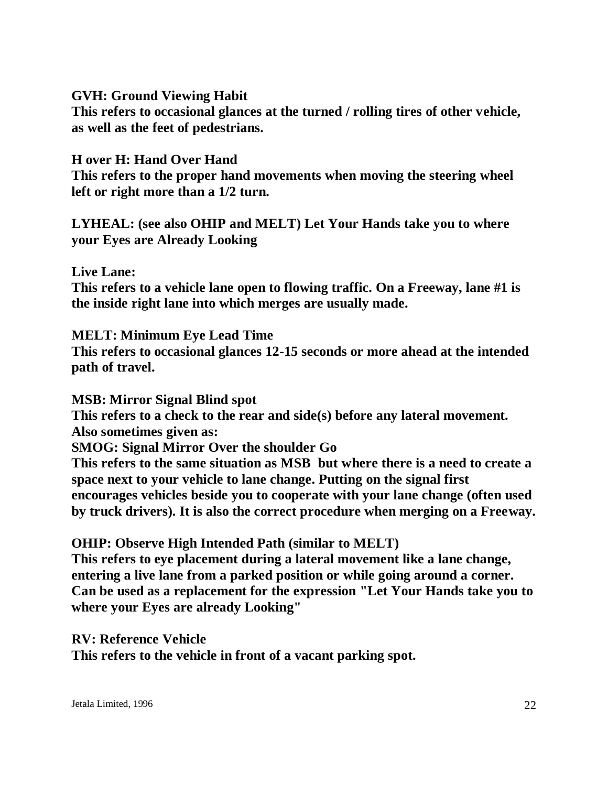**GVH: Ground Viewing Habit This refers to occasional glances at the turned / rolling tires of other vehicle, as well as the feet of pedestrians.**

**H over H: Hand Over Hand This refers to the proper hand movements when moving the steering wheel left or right more than a 1/2 turn.**

**LYHEAL: (see also OHIP and MELT) Let Your Hands take you to where your Eyes are Already Looking**

**Live Lane: This refers to a vehicle lane open to flowing traffic. On a Freeway, lane #1 is the inside right lane into which merges are usually made.**

**MELT: Minimum Eye Lead Time This refers to occasional glances 12-15 seconds or more ahead at the intended path of travel.**

**MSB: Mirror Signal Blind spot This refers to a check to the rear and side(s) before any lateral movement. Also sometimes given as: SMOG: Signal Mirror Over the shoulder Go This refers to the same situation as MSB but where there is a need to create a space next to your vehicle to lane change. Putting on the signal first encourages vehicles beside you to cooperate with your lane change (often used by truck drivers). It is also the correct procedure when merging on a Freeway.**

**OHIP: Observe High Intended Path (similar to MELT) This refers to eye placement during a lateral movement like a lane change, entering a live lane from a parked position or while going around a corner. Can be used as a replacement for the expression "Let Your Hands take you to where your Eyes are already Looking"**

**RV: Reference Vehicle This refers to the vehicle in front of a vacant parking spot.**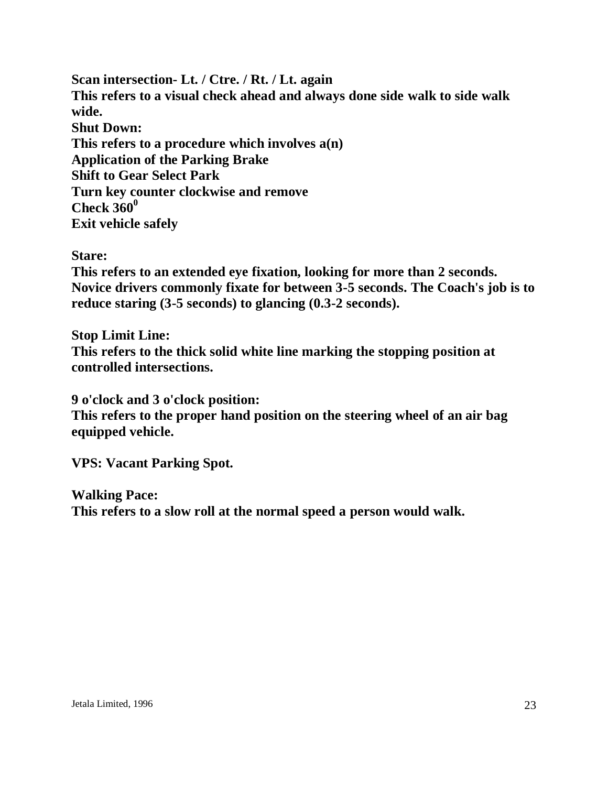**Scan intersection- Lt. / Ctre. / Rt. / Lt. again This refers to a visual check ahead and always done side walk to side walk wide. Shut Down: This refers to a procedure which involves a(n) Application of the Parking Brake Shift to Gear Select Park Turn key counter clockwise and remove Check 360<sup>0</sup> Exit vehicle safely**

**Stare:**

**This refers to an extended eye fixation, looking for more than 2 seconds. Novice drivers commonly fixate for between 3-5 seconds. The Coach's job is to reduce staring (3-5 seconds) to glancing (0.3-2 seconds).**

**Stop Limit Line: This refers to the thick solid white line marking the stopping position at controlled intersections.**

**9 o'clock and 3 o'clock position:**

**This refers to the proper hand position on the steering wheel of an air bag equipped vehicle.**

**VPS: Vacant Parking Spot.**

**Walking Pace: This refers to a slow roll at the normal speed a person would walk.**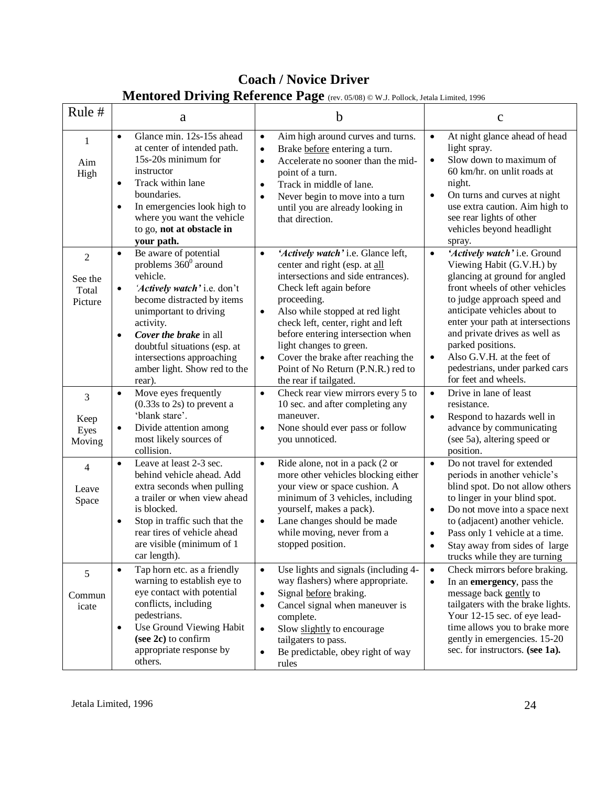| Mentored Driving Reference Page (rev. 05/08) @ W.J. Pollock, Jetala Limited, 1996 |                                                                                                                                                                                                                                                                                                                                                |                                                                                                                                                                                                                                                                                                                                                                                                                                           |                                                                                                                                                                                                                                                                                                                                                                                                         |  |  |  |  |
|-----------------------------------------------------------------------------------|------------------------------------------------------------------------------------------------------------------------------------------------------------------------------------------------------------------------------------------------------------------------------------------------------------------------------------------------|-------------------------------------------------------------------------------------------------------------------------------------------------------------------------------------------------------------------------------------------------------------------------------------------------------------------------------------------------------------------------------------------------------------------------------------------|---------------------------------------------------------------------------------------------------------------------------------------------------------------------------------------------------------------------------------------------------------------------------------------------------------------------------------------------------------------------------------------------------------|--|--|--|--|
| Rule #                                                                            | a                                                                                                                                                                                                                                                                                                                                              | b                                                                                                                                                                                                                                                                                                                                                                                                                                         | $\mathbf C$                                                                                                                                                                                                                                                                                                                                                                                             |  |  |  |  |
| 1<br>Aim<br>High                                                                  | Glance min. 12s-15s ahead<br>$\bullet$<br>at center of intended path.<br>15s-20s minimum for<br>instructor<br>Track within lane<br>$\bullet$<br>boundaries.<br>In emergencies look high to<br>$\bullet$<br>where you want the vehicle<br>to go, not at obstacle in<br>your path.                                                               | Aim high around curves and turns.<br>$\bullet$<br>Brake before entering a turn.<br>$\bullet$<br>Accelerate no sooner than the mid-<br>$\bullet$<br>point of a turn.<br>Track in middle of lane.<br>$\bullet$<br>Never begin to move into a turn<br>$\bullet$<br>until you are already looking in<br>that direction.                                                                                                                       | At night glance ahead of head<br>$\bullet$<br>light spray.<br>Slow down to maximum of<br>$\bullet$<br>60 km/hr. on unlit roads at<br>night.<br>On turns and curves at night<br>$\bullet$<br>use extra caution. Aim high to<br>see rear lights of other<br>vehicles beyond headlight<br>spray.                                                                                                           |  |  |  |  |
| $\overline{c}$<br>See the<br>Total<br>Picture                                     | Be aware of potential<br>$\bullet$<br>problems $360^{\circ}$ around<br>vehicle.<br>'Actively watch' i.e. don't<br>$\bullet$<br>become distracted by items<br>unimportant to driving<br>activity.<br>Cover the brake in all<br>$\bullet$<br>doubtful situations (esp. at<br>intersections approaching<br>amber light. Show red to the<br>rear). | 'Actively watch' i.e. Glance left,<br>$\bullet$<br>center and right (esp. at all<br>intersections and side entrances).<br>Check left again before<br>proceeding.<br>Also while stopped at red light<br>$\bullet$<br>check left, center, right and left<br>before entering intersection when<br>light changes to green.<br>Cover the brake after reaching the<br>$\bullet$<br>Point of No Return (P.N.R.) red to<br>the rear if tailgated. | 'Actively watch' i.e. Ground<br>$\bullet$<br>Viewing Habit (G.V.H.) by<br>glancing at ground for angled<br>front wheels of other vehicles<br>to judge approach speed and<br>anticipate vehicles about to<br>enter your path at intersections<br>and private drives as well as<br>parked positions.<br>Also G.V.H. at the feet of<br>$\bullet$<br>pedestrians, under parked cars<br>for feet and wheels. |  |  |  |  |
| 3<br>Keep<br>Eyes<br>Moving                                                       | Move eyes frequently<br>$\bullet$<br>$(0.33s)$ to 2s) to prevent a<br>'blank stare'.<br>Divide attention among<br>$\bullet$<br>most likely sources of<br>collision.                                                                                                                                                                            | Check rear view mirrors every 5 to<br>$\bullet$<br>10 sec. and after completing any<br>maneuver.<br>None should ever pass or follow<br>$\bullet$<br>you unnoticed.                                                                                                                                                                                                                                                                        | Drive in lane of least<br>$\bullet$<br>resistance.<br>Respond to hazards well in<br>$\bullet$<br>advance by communicating<br>(see 5a), altering speed or<br>position.                                                                                                                                                                                                                                   |  |  |  |  |
| 4<br>Leave<br>Space                                                               | Leave at least 2-3 sec.<br>$\bullet$<br>behind vehicle ahead. Add<br>extra seconds when pulling<br>a trailer or when view ahead<br>is blocked.<br>Stop in traffic such that the<br>$\bullet$<br>rear tires of vehicle ahead<br>are visible (minimum of 1<br>car length).                                                                       | Ride alone, not in a pack (2 or<br>$\bullet$<br>more other vehicles blocking either<br>your view or space cushion. A<br>minimum of 3 vehicles, including<br>yourself, makes a pack).<br>Lane changes should be made<br>while moving, never from a<br>stopped position.                                                                                                                                                                    | Do not travel for extended<br>$\bullet$<br>periods in another vehicle's<br>blind spot. Do not allow others<br>to linger in your blind spot.<br>Do not move into a space next<br>$\bullet$<br>to (adjacent) another vehicle.<br>Pass only 1 vehicle at a time.<br>Stay away from sides of large<br>trucks while they are turning                                                                         |  |  |  |  |
| 5<br>Commun<br>icate                                                              | Tap horn etc. as a friendly<br>$\bullet$<br>warning to establish eye to<br>eye contact with potential<br>conflicts, including<br>pedestrians.<br>Use Ground Viewing Habit<br>$\bullet$<br>(see 2c) to confirm<br>appropriate response by<br>others.                                                                                            | Use lights and signals (including 4-<br>$\bullet$<br>way flashers) where appropriate.<br>Signal before braking.<br>$\bullet$<br>Cancel signal when maneuver is<br>$\bullet$<br>complete.<br>Slow slightly to encourage<br>$\bullet$<br>tailgaters to pass.<br>Be predictable, obey right of way<br>rules                                                                                                                                  | Check mirrors before braking.<br>$\bullet$<br>In an emergency, pass the<br>$\bullet$<br>message back gently to<br>tailgaters with the brake lights.<br>Your 12-15 sec. of eye lead-<br>time allows you to brake more<br>gently in emergencies. 15-20<br>sec. for instructors. (see 1a).                                                                                                                 |  |  |  |  |

# **Coach / Novice Driver**